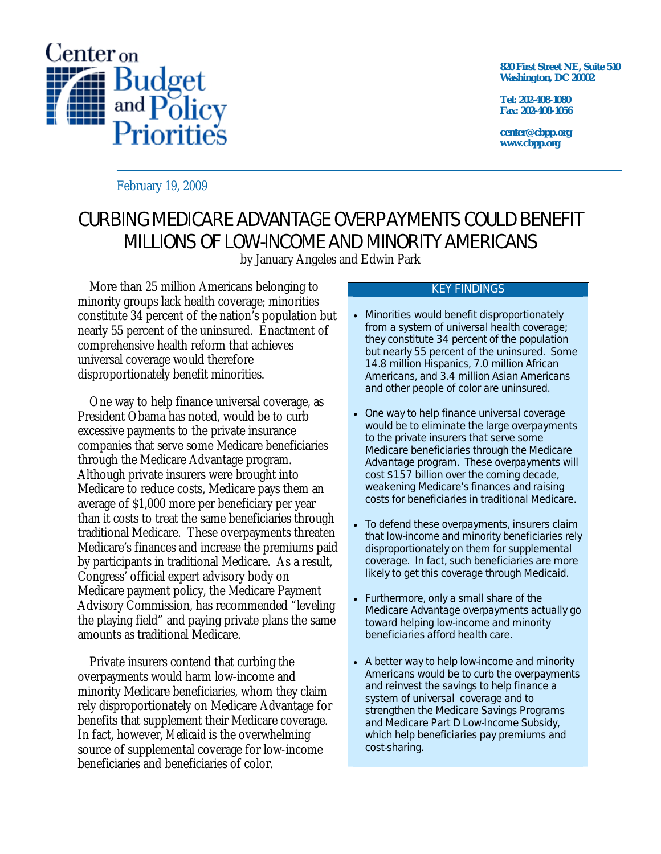

**820 First Street NE, Suite 510 Washington, DC 20002** 

**Tel: 202-408-1080 Fax: 202-408-1056** 

**center@cbpp.org www.cbpp.org** 

February 19, 2009

# CURBING MEDICARE ADVANTAGE OVERPAYMENTS COULD BENEFIT MILLIONS OF LOW-INCOME AND MINORITY AMERICANS

by January Angeles and Edwin Park

More than 25 million Americans belonging to minority groups lack health coverage; minorities constitute 34 percent of the nation's population but nearly 55 percent of the uninsured. Enactment of comprehensive health reform that achieves universal coverage would therefore disproportionately benefit minorities.

One way to help finance universal coverage, as President Obama has noted, would be to curb excessive payments to the private insurance companies that serve some Medicare beneficiaries through the Medicare Advantage program. Although private insurers were brought into Medicare to reduce costs, Medicare pays them an average of \$1,000 more per beneficiary per year than it costs to treat the same beneficiaries through traditional Medicare. These overpayments threaten Medicare's finances and increase the premiums paid by participants in traditional Medicare. As a result, Congress' official expert advisory body on Medicare payment policy, the Medicare Payment Advisory Commission, has recommended "leveling the playing field" and paying private plans the same amounts as traditional Medicare.

Private insurers contend that curbing the overpayments would harm low-income and minority Medicare beneficiaries, whom they claim rely disproportionately on Medicare Advantage for benefits that supplement their Medicare coverage. In fact, however, *Medicaid* is the overwhelming source of supplemental coverage for low-income beneficiaries and beneficiaries of color.

#### KEY FINDINGS

- Minorities would benefit disproportionately from a system of universal health coverage; they constitute 34 percent of the population but nearly 55 percent of the uninsured. Some 14.8 million Hispanics, 7.0 million African Americans, and 3.4 million Asian Americans and other people of color are uninsured.
- One way to help finance universal coverage would be to eliminate the large overpayments to the private insurers that serve some Medicare beneficiaries through the Medicare Advantage program. These overpayments will cost \$157 billion over the coming decade, weakening Medicare's finances and raising costs for beneficiaries in traditional Medicare.
- To defend these overpayments, insurers claim that low-income and minority beneficiaries rely disproportionately on them for supplemental coverage. In fact, such beneficiaries are more likely to get this coverage through Medicaid.
- Furthermore, only a small share of the Medicare Advantage overpayments actually go toward helping low-income and minority beneficiaries afford health care.
- A better way to help low-income and minority Americans would be to curb the overpayments and reinvest the savings to help finance a system of universal coverage and to strengthen the Medicare Savings Programs and Medicare Part D Low-Income Subsidy, which help beneficiaries pay premiums and cost-sharing.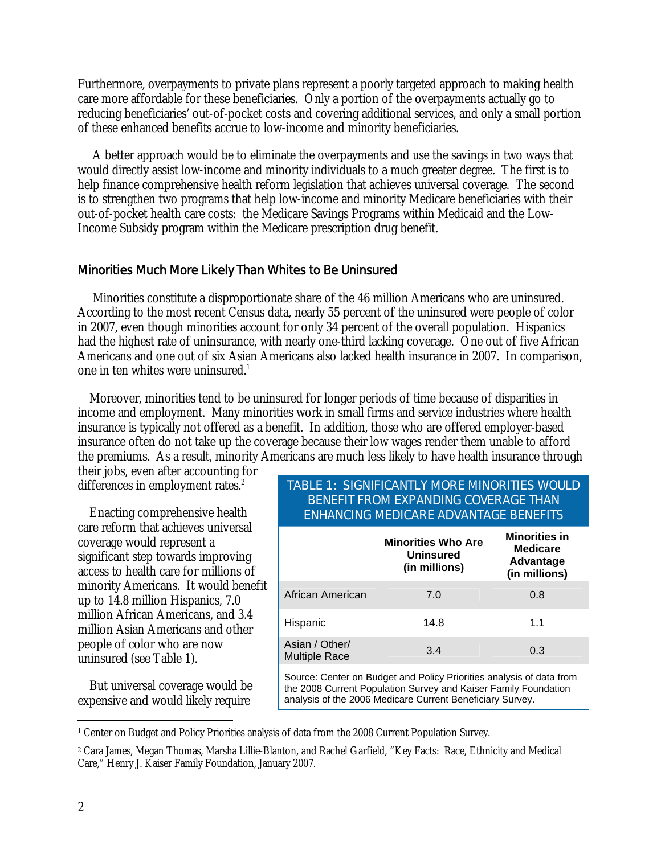Furthermore, overpayments to private plans represent a poorly targeted approach to making health care more affordable for these beneficiaries. Only a portion of the overpayments actually go to reducing beneficiaries' out-of-pocket costs and covering additional services, and only a small portion of these enhanced benefits accrue to low-income and minority beneficiaries.

 A better approach would be to eliminate the overpayments and use the savings in two ways that would directly assist low-income and minority individuals to a much greater degree. The first is to help finance comprehensive health reform legislation that achieves universal coverage. The second is to strengthen two programs that help low-income and minority Medicare beneficiaries with their out-of-pocket health care costs: the Medicare Savings Programs within Medicaid and the Low-Income Subsidy program within the Medicare prescription drug benefit.

# Minorities Much More Likely Than Whites to Be Uninsured

 Minorities constitute a disproportionate share of the 46 million Americans who are uninsured. According to the most recent Census data, nearly 55 percent of the uninsured were people of color in 2007, even though minorities account for only 34 percent of the overall population. Hispanics had the highest rate of uninsurance, with nearly one-third lacking coverage. One out of five African Americans and one out of six Asian Americans also lacked health insurance in 2007. In comparison, one in ten whites were uninsured.<sup>1</sup>

Moreover, minorities tend to be uninsured for longer periods of time because of disparities in income and employment. Many minorities work in small firms and service industries where health insurance is typically not offered as a benefit. In addition, those who are offered employer-based insurance often do not take up the coverage because their low wages render them unable to afford the premiums. As a result, minority Americans are much less likely to have health insurance through

their jobs, even after accounting for differences in employment rates.<sup>2</sup>

Enacting comprehensive health care reform that achieves universal coverage would represent a significant step towards improving access to health care for millions of minority Americans. It would benefit up to 14.8 million Hispanics, 7.0 million African Americans, and 3.4 million Asian Americans and other people of color who are now uninsured (see Table 1).

But universal coverage would be expensive and would likely require

# TABLE 1: SIGNIFICANTLY MORE MINORITIES WOULD BENEFIT FROM EXPANDING COVERAGE THAN ENHANCING MEDICARE ADVANTAGE BENEFITS

|                                        | <b>Minorities Who Are</b><br><b>Uninsured</b><br>(in millions)                                                                                                                                       | <b>Minorities in</b><br><b>Medicare</b><br>Advantage<br>(in millions) |
|----------------------------------------|------------------------------------------------------------------------------------------------------------------------------------------------------------------------------------------------------|-----------------------------------------------------------------------|
| African American                       | 7.0                                                                                                                                                                                                  | 0.8                                                                   |
| Hispanic                               | 14.8                                                                                                                                                                                                 | 1.1                                                                   |
| Asian / Other/<br><b>Multiple Race</b> | 3.4                                                                                                                                                                                                  | 0.3                                                                   |
|                                        | Source: Center on Budget and Policy Priorities analysis of data from<br>the 2008 Current Population Survey and Kaiser Family Foundation<br>analysis of the 2006 Medicare Current Beneficiary Survey. |                                                                       |

 $\overline{a}$ 1 Center on Budget and Policy Priorities analysis of data from the 2008 Current Population Survey.

<sup>2</sup> Cara James, Megan Thomas, Marsha Lillie-Blanton, and Rachel Garfield, "Key Facts: Race, Ethnicity and Medical Care," Henry J. Kaiser Family Foundation, January 2007.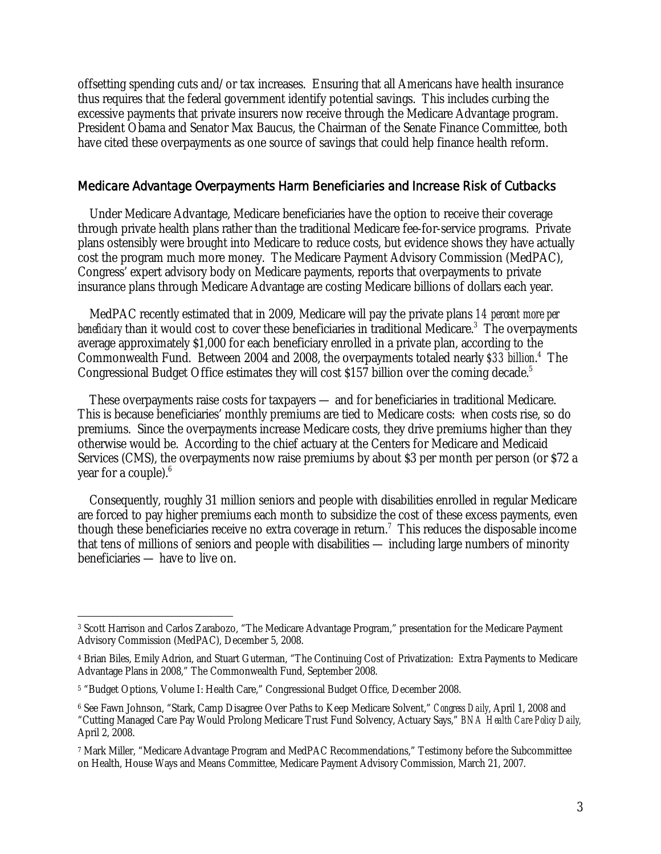offsetting spending cuts and/or tax increases. Ensuring that all Americans have health insurance thus requires that the federal government identify potential savings. This includes curbing the excessive payments that private insurers now receive through the Medicare Advantage program. President Obama and Senator Max Baucus, the Chairman of the Senate Finance Committee, both have cited these overpayments as one source of savings that could help finance health reform.

#### Medicare Advantage Overpayments Harm Beneficiaries and Increase Risk of Cutbacks

Under Medicare Advantage, Medicare beneficiaries have the option to receive their coverage through private health plans rather than the traditional Medicare fee-for-service programs. Private plans ostensibly were brought into Medicare to reduce costs, but evidence shows they have actually cost the program much more money. The Medicare Payment Advisory Commission (MedPAC), Congress' expert advisory body on Medicare payments, reports that overpayments to private insurance plans through Medicare Advantage are costing Medicare billions of dollars each year.

MedPAC recently estimated that in 2009, Medicare will pay the private plans *14 percent more per*  beneficiary than it would cost to cover these beneficiaries in traditional Medicare.<sup>3</sup> The overpayments average approximately \$1,000 for each beneficiary enrolled in a private plan, according to the Commonwealth Fund. Between 2004 and 2008, the overpayments totaled nearly *\$33 billion*. 4 The Congressional Budget Office estimates they will cost \$157 billion over the coming decade.<sup>5</sup>

These overpayments raise costs for taxpayers — and for beneficiaries in traditional Medicare. This is because beneficiaries' monthly premiums are tied to Medicare costs: when costs rise, so do premiums. Since the overpayments increase Medicare costs, they drive premiums higher than they otherwise would be. According to the chief actuary at the Centers for Medicare and Medicaid Services (CMS), the overpayments now raise premiums by about \$3 per month per person (or \$72 a year for a couple).<sup>6</sup>

Consequently, roughly 31 million seniors and people with disabilities enrolled in regular Medicare are forced to pay higher premiums each month to subsidize the cost of these excess payments, even though these beneficiaries receive no extra coverage in return.<sup>7</sup> This reduces the disposable income that tens of millions of seniors and people with disabilities — including large numbers of minority beneficiaries — have to live on.

<sup>-</sup>3 Scott Harrison and Carlos Zarabozo, "The Medicare Advantage Program," presentation for the Medicare Payment Advisory Commission (MedPAC), December 5, 2008.

<sup>4</sup> Brian Biles, Emily Adrion, and Stuart Guterman, "The Continuing Cost of Privatization: Extra Payments to Medicare Advantage Plans in 2008," The Commonwealth Fund, September 2008.

<sup>5 &</sup>quot;Budget Options, Volume I: Health Care," Congressional Budget Office, December 2008.

<sup>6</sup> See Fawn Johnson, "Stark, Camp Disagree Over Paths to Keep Medicare Solvent," *Congress Daily*, April 1, 2008 and "Cutting Managed Care Pay Would Prolong Medicare Trust Fund Solvency, Actuary Says," *BNA Health Care Policy Daily,*  April 2, 2008.

<sup>7</sup> Mark Miller, "Medicare Advantage Program and MedPAC Recommendations," Testimony before the Subcommittee on Health, House Ways and Means Committee, Medicare Payment Advisory Commission, March 21, 2007.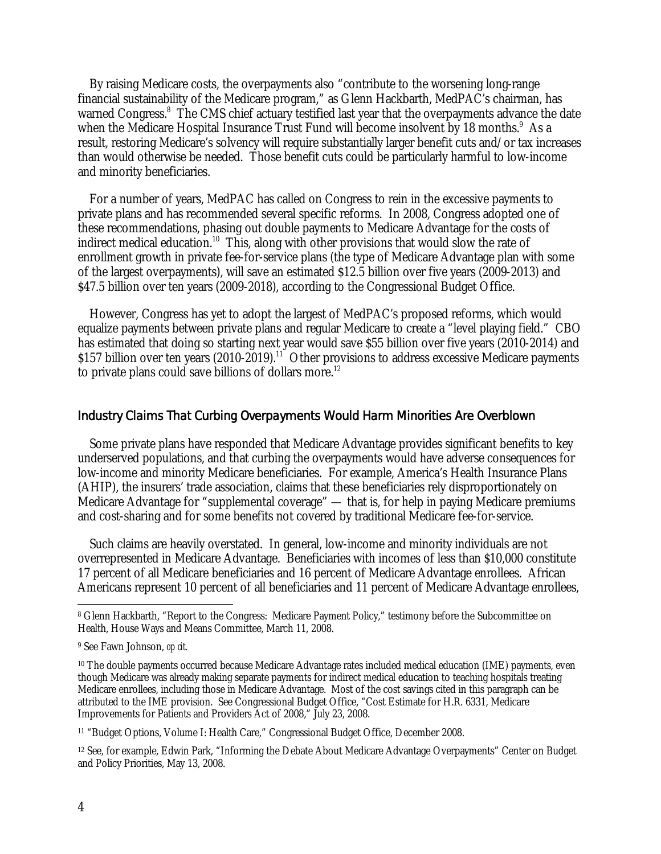By raising Medicare costs, the overpayments also "contribute to the worsening long-range financial sustainability of the Medicare program," as Glenn Hackbarth, MedPAC's chairman, has warned Congress.<sup>8</sup> The CMS chief actuary testified last year that the overpayments advance the date when the Medicare Hospital Insurance Trust Fund will become insolvent by 18 months.<sup>9</sup> As a result, restoring Medicare's solvency will require substantially larger benefit cuts and/or tax increases than would otherwise be needed. Those benefit cuts could be particularly harmful to low-income and minority beneficiaries.

For a number of years, MedPAC has called on Congress to rein in the excessive payments to private plans and has recommended several specific reforms. In 2008, Congress adopted one of these recommendations, phasing out double payments to Medicare Advantage for the costs of indirect medical education.<sup>10</sup> This, along with other provisions that would slow the rate of enrollment growth in private fee-for-service plans (the type of Medicare Advantage plan with some of the largest overpayments), will save an estimated \$12.5 billion over five years (2009-2013) and \$47.5 billion over ten years (2009-2018), according to the Congressional Budget Office.

However, Congress has yet to adopt the largest of MedPAC's proposed reforms, which would equalize payments between private plans and regular Medicare to create a "level playing field." CBO has estimated that doing so starting next year would save \$55 billion over five years (2010-2014) and \$157 billion over ten years (2010-2019).<sup>11</sup> Other provisions to address excessive Medicare payments to private plans could save billions of dollars more.<sup>12</sup>

#### Industry Claims That Curbing Overpayments Would Harm Minorities Are Overblown

Some private plans have responded that Medicare Advantage provides significant benefits to key underserved populations, and that curbing the overpayments would have adverse consequences for low-income and minority Medicare beneficiaries. For example, America's Health Insurance Plans (AHIP), the insurers' trade association, claims that these beneficiaries rely disproportionately on Medicare Advantage for "supplemental coverage" — that is, for help in paying Medicare premiums and cost-sharing and for some benefits not covered by traditional Medicare fee-for-service.

Such claims are heavily overstated. In general, low-income and minority individuals are not overrepresented in Medicare Advantage. Beneficiaries with incomes of less than \$10,000 constitute 17 percent of all Medicare beneficiaries and 16 percent of Medicare Advantage enrollees. African Americans represent 10 percent of all beneficiaries and 11 percent of Medicare Advantage enrollees,

 $\overline{a}$ 8 Glenn Hackbarth, "Report to the Congress: Medicare Payment Policy," testimony before the Subcommittee on Health, House Ways and Means Committee, March 11, 2008.

<sup>9</sup> See Fawn Johnson, *op cit.*

<sup>&</sup>lt;sup>10</sup> The double payments occurred because Medicare Advantage rates included medical education (IME) payments, even though Medicare was already making separate payments for indirect medical education to teaching hospitals treating Medicare enrollees, including those in Medicare Advantage. Most of the cost savings cited in this paragraph can be attributed to the IME provision. See Congressional Budget Office, "Cost Estimate for H.R. 6331, Medicare Improvements for Patients and Providers Act of 2008," July 23, 2008.

<sup>11 &</sup>quot;Budget Options, Volume I: Health Care," Congressional Budget Office, December 2008.

<sup>12</sup> See, for example, Edwin Park, "Informing the Debate About Medicare Advantage Overpayments" Center on Budget and Policy Priorities, May 13, 2008.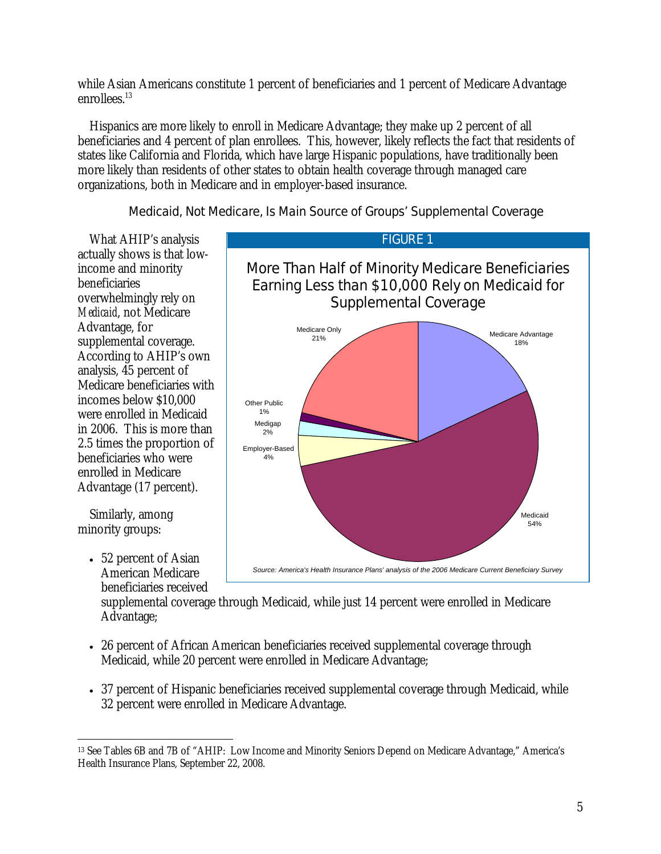while Asian Americans constitute 1 percent of beneficiaries and 1 percent of Medicare Advantage enrollees.<sup>13</sup>

Hispanics are more likely to enroll in Medicare Advantage; they make up 2 percent of all beneficiaries and 4 percent of plan enrollees. This, however, likely reflects the fact that residents of states like California and Florida, which have large Hispanic populations, have traditionally been more likely than residents of other states to obtain health coverage through managed care organizations, both in Medicare and in employer-based insurance.

# Medicaid, Not Medicare, Is Main Source of Groups' Supplemental Coverage

What AHIP's analysis actually shows is that lowincome and minority beneficiaries overwhelmingly rely on *Medicaid*, not Medicare Advantage, for supplemental coverage. According to AHIP's own analysis, 45 percent of Medicare beneficiaries with incomes below \$10,000 were enrolled in Medicaid in 2006. This is more than 2.5 times the proportion of beneficiaries who were enrolled in Medicare Advantage (17 percent).

Similarly, among minority groups:

> • 52 percent of Asian American Medicare beneficiaries received

More Than Half of Minority Medicare Beneficiaries Earning Less than \$10,000 Rely on Medicaid for Supplemental Coverage Employer-Based  $4%$ Medigap  $2%$ Other Public 1% Medicare Only Medicare Advantage 18% Medicaid 54% *Source: America's Health Insurance Plans' analysis of the 2006 Medicare Current Beneficiary Survey*

FIGURE 1

supplemental coverage through Medicaid, while just 14 percent were enrolled in Medicare Advantage;

- 26 percent of African American beneficiaries received supplemental coverage through Medicaid, while 20 percent were enrolled in Medicare Advantage;
- 37 percent of Hispanic beneficiaries received supplemental coverage through Medicaid, while 32 percent were enrolled in Medicare Advantage.

 $\overline{a}$ 13 See Tables 6B and 7B of "AHIP: Low Income and Minority Seniors Depend on Medicare Advantage," America's Health Insurance Plans, September 22, 2008.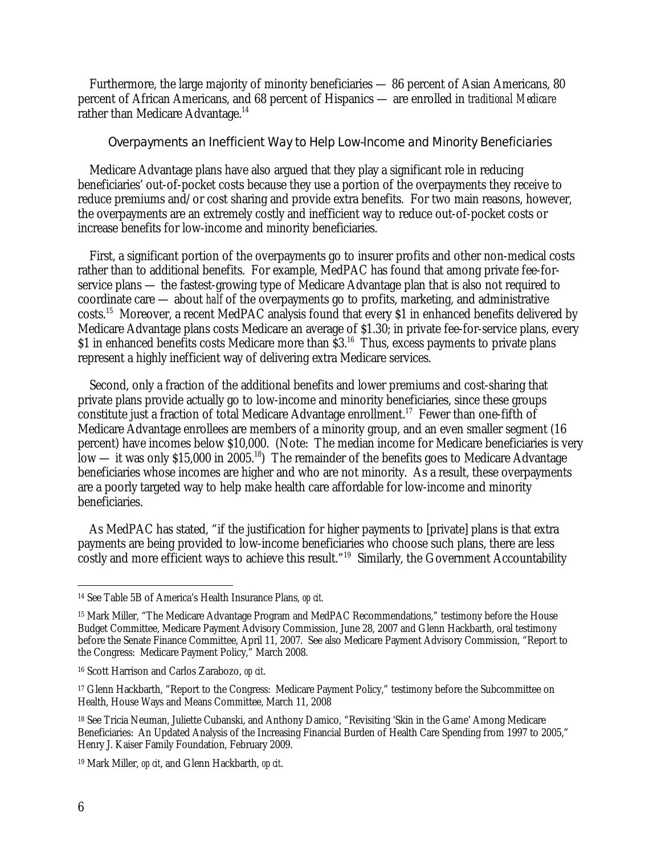Furthermore, the large majority of minority beneficiaries — 86 percent of Asian Americans, 80 percent of African Americans, and 68 percent of Hispanics — are enrolled in *traditional Medicare* rather than Medicare Advantage.<sup>14</sup>

#### Overpayments an Inefficient Way to Help Low-Income and Minority Beneficiaries

Medicare Advantage plans have also argued that they play a significant role in reducing beneficiaries' out-of-pocket costs because they use a portion of the overpayments they receive to reduce premiums and/or cost sharing and provide extra benefits. For two main reasons, however, the overpayments are an extremely costly and inefficient way to reduce out-of-pocket costs or increase benefits for low-income and minority beneficiaries.

First, a significant portion of the overpayments go to insurer profits and other non-medical costs rather than to additional benefits. For example, MedPAC has found that among private fee-forservice plans — the fastest-growing type of Medicare Advantage plan that is also not required to coordinate care — about *half* of the overpayments go to profits, marketing, and administrative costs.15 Moreover, a recent MedPAC analysis found that every \$1 in enhanced benefits delivered by Medicare Advantage plans costs Medicare an average of \$1.30; in private fee-for-service plans, every \$1 in enhanced benefits costs Medicare more than  $\S$ 3.<sup>16</sup> Thus, excess payments to private plans represent a highly inefficient way of delivering extra Medicare services.

Second, only a fraction of the additional benefits and lower premiums and cost-sharing that private plans provide actually go to low-income and minority beneficiaries, since these groups constitute just a fraction of total Medicare Advantage enrollment.<sup>17</sup> Fewer than one-fifth of Medicare Advantage enrollees are members of a minority group, and an even smaller segment (16 percent) have incomes below \$10,000. (Note: The median income for Medicare beneficiaries is very  $\text{low}$  — it was only \$15,000 in 2005.<sup>18</sup>) The remainder of the benefits goes to Medicare Advantage beneficiaries whose incomes are higher and who are not minority. As a result, these overpayments are a poorly targeted way to help make health care affordable for low-income and minority beneficiaries.

As MedPAC has stated, "if the justification for higher payments to [private] plans is that extra payments are being provided to low-income beneficiaries who choose such plans, there are less costly and more efficient ways to achieve this result."<sup>19</sup> Similarly, the Government Accountability

<sup>-</sup>14 See Table 5B of America's Health Insurance Plans, *op cit.* 

<sup>15</sup> Mark Miller, "The Medicare Advantage Program and MedPAC Recommendations," testimony before the House Budget Committee, Medicare Payment Advisory Commission, June 28, 2007 and Glenn Hackbarth, oral testimony before the Senate Finance Committee, April 11, 2007. See also Medicare Payment Advisory Commission, "Report to the Congress: Medicare Payment Policy," March 2008.

<sup>16</sup> Scott Harrison and Carlos Zarabozo, *op cit*.

<sup>17</sup> Glenn Hackbarth, "Report to the Congress: Medicare Payment Policy," testimony before the Subcommittee on Health, House Ways and Means Committee, March 11, 2008

<sup>18</sup> See Tricia Neuman, Juliette Cubanski, and Anthony Damico, "Revisiting 'Skin in the Game' Among Medicare Beneficiaries: An Updated Analysis of the Increasing Financial Burden of Health Care Spending from 1997 to 2005," Henry J. Kaiser Family Foundation, February 2009.

<sup>19</sup> Mark Miller, *op cit*, and Glenn Hackbarth, *op cit*.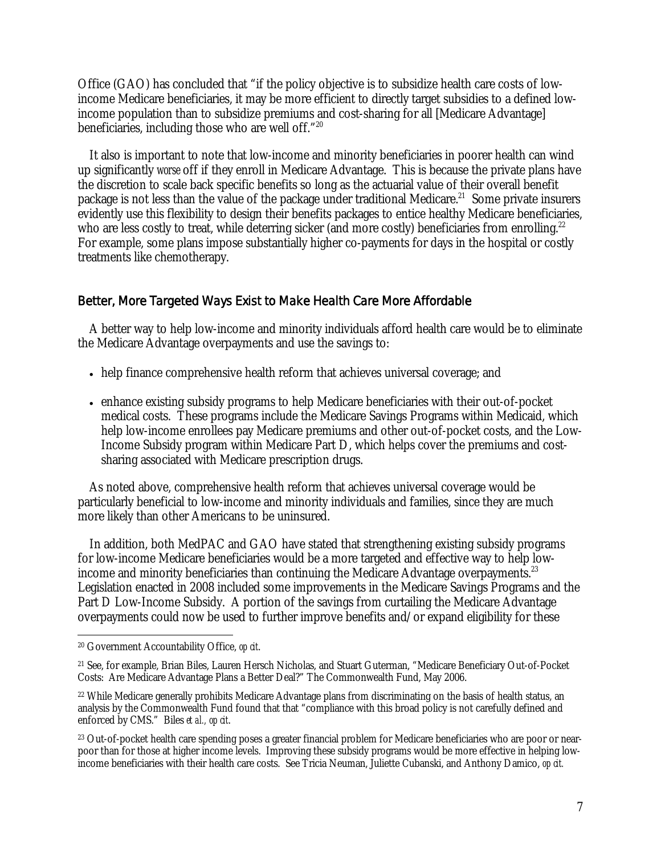Office (GAO) has concluded that "if the policy objective is to subsidize health care costs of lowincome Medicare beneficiaries, it may be more efficient to directly target subsidies to a defined lowincome population than to subsidize premiums and cost-sharing for all [Medicare Advantage] beneficiaries, including those who are well off."20

It also is important to note that low-income and minority beneficiaries in poorer health can wind up significantly *worse* off if they enroll in Medicare Advantage. This is because the private plans have the discretion to scale back specific benefits so long as the actuarial value of their overall benefit package is not less than the value of the package under traditional Medicare.<sup>21</sup> Some private insurers evidently use this flexibility to design their benefits packages to entice healthy Medicare beneficiaries, who are less costly to treat, while deterring sicker (and more costly) beneficiaries from enrolling.<sup>22</sup> For example, some plans impose substantially higher co-payments for days in the hospital or costly treatments like chemotherapy.

# Better, More Targeted Ways Exist to Make Health Care More Affordable

A better way to help low-income and minority individuals afford health care would be to eliminate the Medicare Advantage overpayments and use the savings to:

- help finance comprehensive health reform that achieves universal coverage; and
- enhance existing subsidy programs to help Medicare beneficiaries with their out-of-pocket medical costs. These programs include the Medicare Savings Programs within Medicaid, which help low-income enrollees pay Medicare premiums and other out-of-pocket costs, and the Low-Income Subsidy program within Medicare Part D, which helps cover the premiums and costsharing associated with Medicare prescription drugs.

As noted above, comprehensive health reform that achieves universal coverage would be particularly beneficial to low-income and minority individuals and families, since they are much more likely than other Americans to be uninsured.

In addition, both MedPAC and GAO have stated that strengthening existing subsidy programs for low-income Medicare beneficiaries would be a more targeted and effective way to help lowincome and minority beneficiaries than continuing the Medicare Advantage overpayments.<sup>23</sup> Legislation enacted in 2008 included some improvements in the Medicare Savings Programs and the Part D Low-Income Subsidy. A portion of the savings from curtailing the Medicare Advantage overpayments could now be used to further improve benefits and/or expand eligibility for these

<sup>-</sup>20 Government Accountability Office, *op cit*.

<sup>21</sup> See, for example, Brian Biles, Lauren Hersch Nicholas, and Stuart Guterman, "Medicare Beneficiary Out-of-Pocket Costs: Are Medicare Advantage Plans a Better Deal?" The Commonwealth Fund, May 2006.

<sup>22</sup> While Medicare generally prohibits Medicare Advantage plans from discriminating on the basis of health status, an analysis by the Commonwealth Fund found that that "compliance with this broad policy is not carefully defined and enforced by CMS." Biles *et al., op cit*.

<sup>&</sup>lt;sup>23</sup> Out-of-pocket health care spending poses a greater financial problem for Medicare beneficiaries who are poor or nearpoor than for those at higher income levels. Improving these subsidy programs would be more effective in helping lowincome beneficiaries with their health care costs. See Tricia Neuman, Juliette Cubanski, and Anthony Damico, *op cit.*